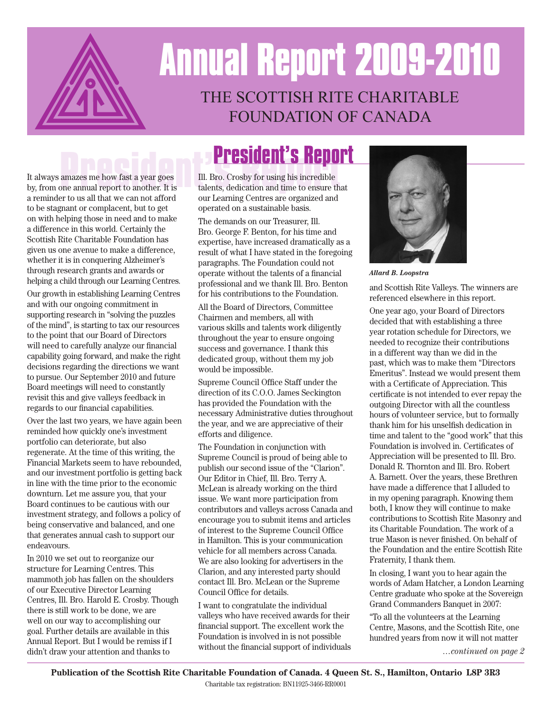

# **Annual Report 2009-2010** THE SCOTTISH RITE CHARITABLE FOUNDATION OF CANADA

It always amazes me how fast a year goes by, from one annual report to another. It is a reminder to us all that we can not afford to be stagnant or complacent, but to get on with helping those in need and to make a difference in this world. Certainly the Scottish Rite Charitable Foundation has given us one avenue to make a difference, whether it is in conquering Alzheimer's through research grants and awards or helping a child through our Learning Centres.

Our growth in establishing Learning Centres and with our ongoing commitment in supporting research in "solving the puzzles of the mind", is starting to tax our resources to the point that our Board of Directors will need to carefully analyze our financial capability going forward, and make the right decisions regarding the directions we want to pursue. Our September 2010 and future Board meetings will need to constantly revisit this and give valleys feedback in regards to our financial capabilities.

Over the last two years, we have again been reminded how quickly one's investment portfolio can deteriorate, but also regenerate. At the time of this writing, the Financial Markets seem to have rebounded, and our investment portfolio is getting back in line with the time prior to the economic downturn. Let me assure you, that your Board continues to be cautious with our investment strategy, and follows a policy of being conservative and balanced, and one that generates annual cash to support our endeavours.

In 2010 we set out to reorganize our structure for Learning Centres. This mammoth job has fallen on the shoulders of our Executive Director Learning Centres, Ill. Bro. Harold E. Crosby. Though there is still work to be done, we are well on our way to accomplishing our goal. Further details are available in this Annual Report. But I would be remiss if I didn't draw your attention and thanks to

**President's Report**<br>
amazes me how fast a year goes<br>
III. Bro. Crosby for using his incredible<br>
talents, dedication and time to ensure that Ill. Bro. Crosby for using his incredible talents, dedication and time to ensure that our Learning Centres are organized and operated on a sustainable basis.

> The demands on our Treasurer, Ill. Bro. George F. Benton, for his time and expertise, have increased dramatically as a result of what I have stated in the foregoing paragraphs. The Foundation could not operate without the talents of a financial professional and we thank Ill. Bro. Benton for his contributions to the Foundation.

All the Board of Directors, Committee Chairmen and members, all with various skills and talents work diligently throughout the year to ensure ongoing success and governance. I thank this dedicated group, without them my job would be impossible.

Supreme Council Office Staff under the direction of its C.O.O. James Seckington has provided the Foundation with the necessary Administrative duties throughout the year, and we are appreciative of their efforts and diligence.

The Foundation in conjunction with Supreme Council is proud of being able to publish our second issue of the "Clarion". Our Editor in Chief, Ill. Bro. Terry A. McLean is already working on the third issue. We want more participation from contributors and valleys across Canada and encourage you to submit items and articles of interest to the Supreme Council Office in Hamilton. This is your communication vehicle for all members across Canada. We are also looking for advertisers in the Clarion, and any interested party should contact Ill. Bro. McLean or the Supreme Council Office for details.

I want to congratulate the individual valleys who have received awards for their financial support. The excellent work the Foundation is involved in is not possible without the financial support of individuals



*Allard B. Loopstra*

and Scottish Rite Valleys. The winners are referenced elsewhere in this report.

One year ago, your Board of Directors decided that with establishing a three year rotation schedule for Directors, we needed to recognize their contributions in a different way than we did in the past, which was to make them "Directors Emeritus". Instead we would present them with a Certificate of Appreciation. This certificate is not intended to ever repay the outgoing Director with all the countless hours of volunteer service, but to formally thank him for his unselfish dedication in time and talent to the "good work" that this Foundation is involved in. Certificates of Appreciation will be presented to Ill. Bro. Donald R. Thornton and Ill. Bro. Robert A. Barnett. Over the years, these Brethren have made a difference that I alluded to in my opening paragraph. Knowing them both, I know they will continue to make contributions to Scottish Rite Masonry and its Charitable Foundation. The work of a true Mason is never finished. On behalf of the Foundation and the entire Scottish Rite Fraternity, I thank them.

In closing, I want you to hear again the words of Adam Hatcher, a London Learning Centre graduate who spoke at the Sovereign Grand Commanders Banquet in 2007:

"To all the volunteers at the Learning Centre, Masons, and the Scottish Rite, one hundred years from now it will not matter

*…continued on page 2*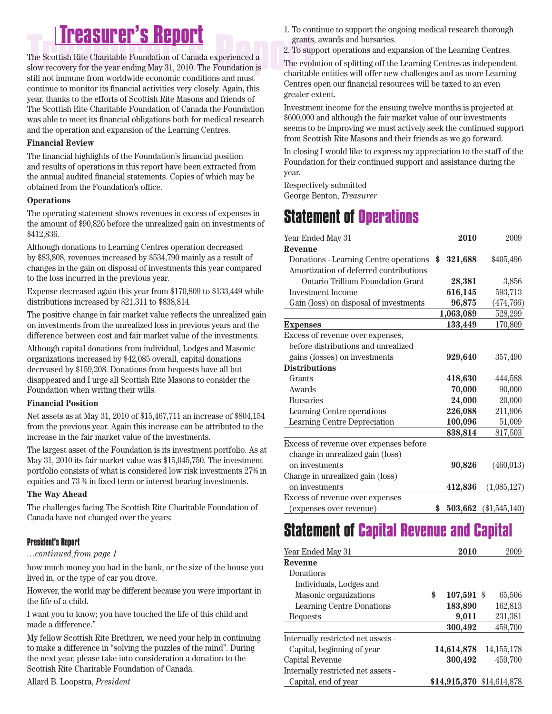# **Treasurer's Report Treasurer's Report**

The Scottish Rite Charitable Foundation of Canada experienced a slow recovery for the year ending May 31, 2010. The Foundation is still not immune from worldwide economic conditions and must continue to monitor its financial activities very closely. Again, this year, thanks to the efforts of Scottish Rite Masons and friends of The Scottish Rite Charitable Foundation of Canada the Foundation was able to meet its financial obligations both for medical research and the operation and expansion of the Learning Centres.

### **Financial Review**

The financial highlights of the Foundation's financial position and results of operations in this report have been extracted from the annual audited financial statements. Copies of which may be obtained from the Foundation's office.

### **Operations**

The operating statement shows revenues in excess of expenses in the amount of \$90,826 before the unrealized gain on investments of \$412,836.

Although donations to Learning Centres operation decreased by \$83,808, revenues increased by \$534,790 mainly as a result of changes in the gain on disposal of investments this year compared to the loss incurred in the previous year.

Expense decreased again this year from \$170,809 to \$133,449 while distributions increased by \$21,311 to \$838,814.

The positive change in fair market value reflects the unrealized gain on investments from the unrealized loss in previous years and the difference between cost and fair market value of the investments.

Although capital donations from individual, Lodges and Masonic organizations increased by \$42,085 overall, capital donations decreased by \$159,208. Donations from bequests have all but disappeared and I urge all Scottish Rite Masons to consider the Foundation when writing their wills.

### **Financial Position**

Net assets as at May 31, 2010 of \$15,467,711 an increase of \$804,154 from the previous year. Again this increase can be attributed to the increase in the fair market value of the investments.

The largest asset of the Foundation is its investment portfolio. As at May 31, 2010 its fair market value was \$15,045,750. The investment portfolio consists of what is considered low risk investments 27% in equities and 73 % in fixed term or interest bearing investments.

### **The Way Ahead**

The challenges facing The Scottish Rite Charitable Foundation of Canada have not changed over the years:

### **President's Report**

*…continued from page 1*

how much money you had in the bank, or the size of the house you lived in, or the type of car you drove.

However, the world may be different because you were important in the life of a child.

I want you to know; you have touched the life of this child and made a difference."

My fellow Scottish Rite Brethren, we need your help in continuing to make a difference in "solving the puzzles of the mind". During the next year, please take into consideration a donation to the Scottish Rite Charitable Foundation of Canada.

- 1. To continue to support the ongoing medical research thorough grants, awards and bursaries.
- 2. To support operations and expansion of the Learning Centres.

The evolution of splitting off the Learning Centres as independent charitable entities will offer new challenges and as more Learning Centres open our financial resources will be taxed to an even greater extent.

Investment income for the ensuing twelve months is projected at \$600,000 and although the fair market value of our investments seems to be improving we must actively seek the continued support from Scottish Rite Masons and their friends as we go forward.

In closing I would like to express my appreciation to the staff of the Foundation for their continued support and assistance during the year.

Respectively submitted

George Benton, *Treasurer*

## **Statement of Operations**

| Year Ended May 31                      | 2010                           | 2009           |
|----------------------------------------|--------------------------------|----------------|
| Revenue                                |                                |                |
| Donations - Learning Centre operations | \$<br>321,688                  | \$405,496      |
| Amortization of deferred contributions |                                |                |
| – Ontario Trillium Foundation Grant    | 28,381                         | 3,856          |
| <b>Investment Income</b>               | 616,145                        | 593,713        |
| Gain (loss) on disposal of investments | 96,875                         | (474, 766)     |
|                                        | 1,063,089                      | 528,299        |
| <b>Expenses</b>                        | 133,449                        | 170,809        |
| Excess of revenue over expenses,       |                                |                |
| before distributions and unrealized    |                                |                |
| gains (losses) on investments          | 929,640                        | 357,490        |
| <b>Distributions</b>                   |                                |                |
| Grants                                 | 418,630                        | 444,588        |
| Awards                                 | 70,000                         | 90,000         |
| <b>Bursaries</b>                       | 24,000                         | 20,000         |
| Learning Centre operations             | 226,088                        | 211,906        |
| Learning Centre Depreciation           | 100,096                        | 51,009         |
|                                        | 838,814                        | 817,503        |
| Excess of revenue over expenses before |                                |                |
| change in unrealized gain (loss)       |                                |                |
| on investments                         | 90,826                         | (460, 013)     |
| Change in unrealized gain (loss)       |                                |                |
| on investments                         | 412,836                        | (1,085,127)    |
| Excess of revenue over expenses        |                                |                |
| (expenses over revenue)                | \$<br>$\boldsymbol{503{,}662}$ | $(*1,545,140)$ |

### **Statement of Capital Revenue and Capital**

| Year Ended May 31                  | 2010               | 2009                      |
|------------------------------------|--------------------|---------------------------|
| Revenue                            |                    |                           |
| Donations                          |                    |                           |
| Individuals, Lodges and            |                    |                           |
| Masonic organizations              | \$<br>$107,591$ \$ | 65,506                    |
| <b>Learning Centre Donations</b>   | 183,890            | 162,813                   |
| <b>Bequests</b>                    | 9,011              | 231,381                   |
|                                    | 300,492            | 459,700                   |
| Internally restricted net assets - |                    |                           |
| Capital, beginning of year         | 14,614,878         | 14, 155, 178              |
| Capital Revenue                    | 300,492            | 459,700                   |
| Internally restricted net assets - |                    |                           |
| Capital, end of year               |                    | \$14,915,370 \$14,614,878 |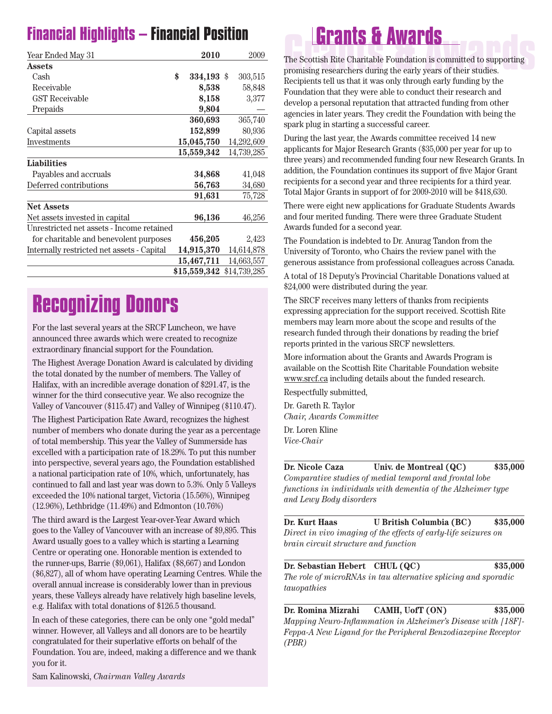## **Financial Highlights – Financial Position**

| Year Ended May 31                          | 2010             | 2009         |  |
|--------------------------------------------|------------------|--------------|--|
| <b>Assets</b>                              |                  |              |  |
| Cash                                       | \$<br>334,193 \$ | 303,515      |  |
| Receivable                                 | 8,538            | 58,848       |  |
| <b>GST Receivable</b>                      | 8,158            | 3,377        |  |
| Prepaids                                   | 9,804            |              |  |
|                                            | 360,693          | 365,740      |  |
| Capital assets                             | 152,899          | 80,936       |  |
| Investments                                | 15,045,750       | 14,292,609   |  |
|                                            | 15,559,342       | 14,739,285   |  |
| Liabilities                                |                  |              |  |
| Payables and accruals                      | 34,868           | 41,048       |  |
| Deferred contributions                     | 56,763           | 34,680       |  |
|                                            | 91,631           | 75,728       |  |
| <b>Net Assets</b>                          |                  |              |  |
| Net assets invested in capital             | 96,136           | 46,256       |  |
| Unrestricted net assets - Income retained  |                  |              |  |
| for charitable and benevolent purposes     | 456,205          | 2,423        |  |
| Internally restricted net assets - Capital | 14,915,370       | 14,614,878   |  |
|                                            | 15,467,711       | 14,663,557   |  |
|                                            | \$15,559,342     | \$14,739,285 |  |

## **Recognizing Donors**

For the last several years at the SRCF Luncheon, we have announced three awards which were created to recognize extraordinary financial support for the Foundation.

The Highest Average Donation Award is calculated by dividing the total donated by the number of members. The Valley of Halifax, with an incredible average donation of \$291.47, is the winner for the third consecutive year. We also recognize the Valley of Vancouver (\$115.47) and Valley of Winnipeg (\$110.47).

The Highest Participation Rate Award, recognizes the highest number of members who donate during the year as a percentage of total membership. This year the Valley of Summerside has excelled with a participation rate of 18.29%. To put this number into perspective, several years ago, the Foundation established a national participation rate of 10%, which, unfortunately, has continued to fall and last year was down to 5.3%. Only 5 Valleys exceeded the 10% national target, Victoria (15.56%), Winnipeg (12.96%), Lethbridge (11.49%) and Edmonton (10.76%)

The third award is the Largest Year-over-Year Award which goes to the Valley of Vancouver with an increase of \$9,895. This Award usually goes to a valley which is starting a Learning Centre or operating one. Honorable mention is extended to the runner-ups, Barrie (\$9,061), Halifax (\$8,667) and London (\$6,827), all of whom have operating Learning Centres. While the overall annual increase is considerably lower than in previous years, these Valleys already have relatively high baseline levels, e.g. Halifax with total donations of \$126.5 thousand.

In each of these categories, there can be only one "gold medal" winner. However, all Valleys and all donors are to be heartily congratulated for their superlative efforts on behalf of the Foundation. You are, indeed, making a difference and we thank you for it.

**Grants & Awards**<br>The Scottish Rite Charitable Foundation is committed to supporting<br>promising researchers during the early years of their studies. The Scottish Rite Charitable Foundation is committed to supporting promising researchers during the early years of their studies. Recipients tell us that it was only through early funding by the Foundation that they were able to conduct their research and develop a personal reputation that attracted funding from other agencies in later years. They credit the Foundation with being the spark plug in starting a successful career.

During the last year, the Awards committee received 14 new applicants for Major Research Grants (\$35,000 per year for up to three years) and recommended funding four new Research Grants. In addition, the Foundation continues its support of five Major Grant recipients for a second year and three recipients for a third year. Total Major Grants in support of for 2009-2010 will be \$418,630.

There were eight new applications for Graduate Students Awards and four merited funding. There were three Graduate Student Awards funded for a second year.

The Foundation is indebted to Dr. Anurag Tandon from the University of Toronto, who Chairs the review panel with the generous assistance from professional colleagues across Canada.

A total of 18 Deputy's Provincial Charitable Donations valued at \$24,000 were distributed during the year.

The SRCF receives many letters of thanks from recipients expressing appreciation for the support received. Scottish Rite members may learn more about the scope and results of the research funded through their donations by reading the brief reports printed in the various SRCF newsletters.

More information about the Grants and Awards Program is available on the Scottish Rite Charitable Foundation website www.srcf.ca including details about the funded research.

Respectfully submitted,

Dr. Gareth R. Taylor *Chair, Awards Committee*

Dr. Loren Kline

*Vice-Chair*

**Dr. Nicole Caza Univ. de Montreal (QC) \$35,000** *Comparative studies of medial temporal and frontal lobe functions in individuals with dementia of the Alzheimer type and Lewy Body disorders*

**Dr. Kurt Haas U British Columbia (BC) \$35,000** *Direct in vivo imaging of the effects of early-life seizures on brain circuit structure and function*

**Dr. Sebastian Hebert CHUL (QC) \$35,000** *The role of microRNAs in tau alternative splicing and sporadic tauopathies*

**Dr. Romina Mizrahi CAMH, UofT (ON) \$35,000** *Mapping Neuro-Inflammation in Alzheimer's Disease with [18F]- Feppa-A New Ligand for the Peripheral Benzodiazepine Receptor (PBR)*

Sam Kalinowski, *Chairman Valley Awards*